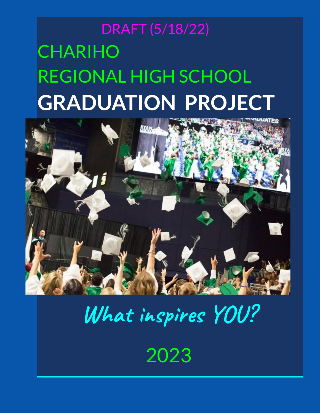### DRAFT (5/18/22) CHARIHO REGIONAL HIGH SCHOOL **GRADUATION PROJECT**



# **What inspires YOU?** 2023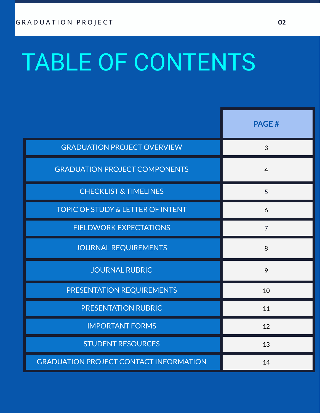# TABLE OF CONTENTS

|                                               | <b>PAGE#</b>   |
|-----------------------------------------------|----------------|
| <b>GRADUATION PROJECT OVERVIEW</b>            | 3              |
| <b>GRADUATION PROJECT COMPONENTS</b>          | $\overline{4}$ |
| <b>CHECKLIST &amp; TIMELINES</b>              | 5              |
| <b>TOPIC OF STUDY &amp; LETTER OF INTENT</b>  | 6              |
| <b>FIELDWORK EXPECTATIONS</b>                 | $\overline{7}$ |
| <b>JOURNAL REQUIREMENTS</b>                   | 8              |
| <b>JOURNAL RUBRIC</b>                         | 9              |
| PRESENTATION REQUIREMENTS                     | 10             |
| PRESENTATION RUBRIC                           | 11             |
| <b>IMPORTANT FORMS</b>                        | 12             |
| <b>STUDENT RESOURCES</b>                      | 13             |
| <b>GRADUATION PROJECT CONTACT INFORMATION</b> | 14             |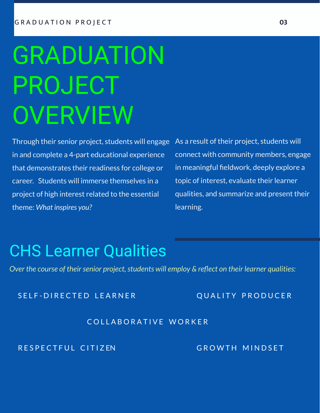#### G R A D U A T I O N P R O J E C T **03**

# <span id="page-2-1"></span><span id="page-2-0"></span>GRADUATION PROJECT **OVERVIEW**

<span id="page-2-2"></span>Through their senior project, students will engage in and complete a 4-part educational experience that demonstrates their readiness for college or career. Students will immerse themselves in a project of high interest related to the essential theme: *What inspires you?*

As a result of their project, students will connect with community members, engage in meaningful fieldwork, deeply explore a topic of interest, evaluate their learner qualities, and summarize and present their learning.

### CHS Learner Qualities

*Over* the course of their senior project, students will employ & reflect on their learner qualities:

SELF-DIRECTED LEARNER QUALITY PRODUCER

#### COLLABORATIVE WORKER

#### RESPECTFUL CITIZEN GROWTH MINDSET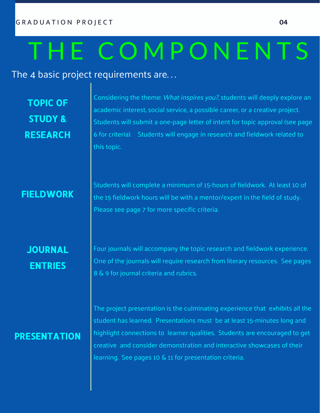#### G R A D U A T I O N P R O J E C T **04**

# <span id="page-3-0"></span>T H E C O M P O N E N T S

#### The 4 basic project requirements are...

TOPIC OF STUDY & **RESEARCH** 

Considering the theme: What inspires you?, students will deeply explore an academic interest, social service, a possible career, or a creative project. Students will submit a one-page letter of intent for topic approval (see page 6 for criteria). Students will engage in research and fieldwork related to this topic.

#### FIELDWORK

Students will complete a minimum of 15-hours of fieldwork. At least 10 of the 15 fieldwork hours will be with a mentor/expert in the field of study. Please see page 7 for more specific criteria.

#### **JOURNAL** ENTRIES

Four journals will accompany the topic research and fieldwork experience. One of the journals will require research from literary resources. See pages 8 & 9 for journal criteria and rubrics.

#### PRESENTATION

The project presentation is the culminating experience that exhibits all the student has learned. Presentations must be at least 15-minutes long and highlight connections to learner qualities. Students are encouraged to get creative and consider demonstration and interactive showcases of their learning. See pages 10 & 11 for presentation criteria.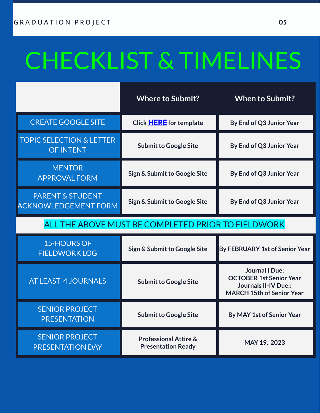# <span id="page-4-0"></span>CHECKLIST & TIMELINES

|                                                            | <b>Where to Submit?</b>                                       | <b>When to Submit?</b>                                                                                              |
|------------------------------------------------------------|---------------------------------------------------------------|---------------------------------------------------------------------------------------------------------------------|
| <b>CREATE GOOGLE SITE</b>                                  | Click HERE for template                                       | By End of Q3 Junior Year                                                                                            |
| <b>TOPIC SELECTION &amp; LETTER</b><br><b>OF INTENT</b>    | <b>Submit to Google Site</b>                                  | By End of Q3 Junior Year                                                                                            |
| <b>MENTOR</b><br><b>APPROVAL FORM</b>                      | Sign & Submit to Google Site                                  | By End of Q3 Junior Year                                                                                            |
| <b>PARENT &amp; STUDENT</b><br><b>ACKNOWLEDGEMENT FORM</b> | Sign & Submit to Google Site                                  | By End of Q3 Junior Year                                                                                            |
| ALL THE ABOVE MUST BE COMPLETED PRIOR TO FIELDWORK         |                                                               |                                                                                                                     |
| <b>15-HOURS OF</b><br><b>FIELDWORK LOG</b>                 | Sign & Submit to Google Site                                  | By FEBRUARY 1st of Senior Year                                                                                      |
| <b>AT LEAST 4 JOURNALS</b>                                 | <b>Submit to Google Site</b>                                  | Journal I Due:<br><b>OCTOBER 1st Senior Year</b><br><b>Journals II-IV Due::</b><br><b>MARCH 15th of Senior Year</b> |
| <b>SENIOR PROJECT</b><br><b>PRESENTATION</b>               | <b>Submit to Google Site</b>                                  | By MAY 1st of Senior Year                                                                                           |
| <b>SENIOR PROJECT</b><br><b>PRESENTATION DAY</b>           | <b>Professional Attire &amp;</b><br><b>Presentation Ready</b> | MAY 19, 2023                                                                                                        |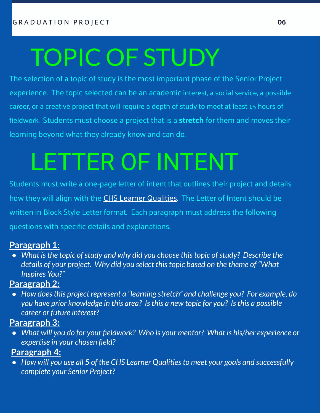# <span id="page-5-0"></span>TOPIC OF STUDY

The selection of a topic of study is the most important phase of the Senior Project experience. The topic selected can be an academic interest, a social service, a possible career, or a creative project that will require a depth of study to meet at least 15 hours of fieldwork. Students must choose a project that is a **stretch** for them and moves their learning beyond what they already know and can do.

# LETTER OF INTENT

Students must write a one-page letter of intent that outlines their project and details how they will align with the CHS Learner [Qualities.](https://docs.google.com/document/d/1EMJRpJHKy3JzaOMgJoiL2A6GzDRsAPyfg9uf4qoQWeM/edit?usp=sharing) The Letter of Intent should be written in Block Style Letter format. Each paragraph must address the following questions with specific details and explanations.

#### **Paragraph 1:**

■ *What is the topic of study and why did you choose this topic of study? Describe the details of your project. Why did you select thistopic based on the theme of "What Inspires You?"*

#### **Paragraph 2:**

*● How doesthis project represent a "learning stretch" and challenge you? For example, do you have prior knowledge in this area? Isthis a new topic for you? Isthis a possible career or future interest?*

#### **Paragraph 3:**

*● What will you do for your fieldwork? Who is your mentor? What is his/her experience or expertise in your chosen field?*

#### **Paragraph 4:**

*● How will you use all 5 of the CHS Learner Qualitiesto meet your goals and successfully complete your Senior Project?*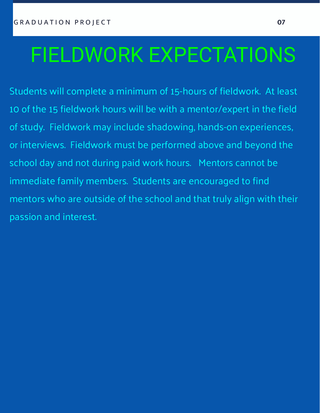### <span id="page-6-0"></span>FIELDWORK EXPECTATIONS

Students will complete a minimum of 15-hours of fieldwork. At least 10 of the 15 fieldwork hours will be with a mentor/expert in the field of study. Fieldwork may include shadowing, hands-on experiences, or interviews. Fieldwork must be performed above and beyond the school day and not during paid work hours. Mentors cannot be immediate family members. Students are encouraged to find mentors who are outside of the school and that truly align with their passion and interest.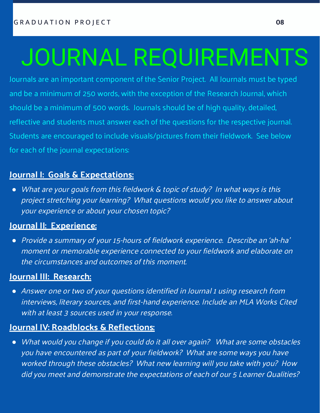# <span id="page-7-0"></span>JOURNAL REQUIREMENTS

Journals are an important component of the Senior Project. All Journals must be typed and be a minimum of 250 words, with the exception of the Research Journal, which should be a minimum of 500 words. Journals should be of high quality, detailed, reflective and students must answer each of the questions for the respective journal. Students are encouraged to include visuals/pictures from their fieldwork. See below for each of the journal expectations:

#### **Journal I: Goals & Expectations:**

*●* What are your goals from this fieldwork & topic of study? In what ways is this project stretching your learning? What questions would you like to answer about your experience or about your chosen topic?

#### **Journal II: Experience:**

*●* Provide <sup>a</sup> summary of your 15-hours of fieldwork experience. Describe an 'ah-ha' moment or memorable experience connected to your fieldwork and elaborate on the circumstances and outcomes of this moment.

#### **Journal III: Research:**

*●* Answer one or two of your questions identified in Journal <sup>1</sup> using research from interviews, literary sources, and first-hand experience. Include an MLA Works Cited with at least 3 sources used in your response.

#### **Journal IV: Roadblocks & Reflections:**

*●* What would you change if you could do it all over again? What are some obstacles you have encountered as part of your fieldwork? What are some ways you have worked through these obstacles? What new learning will you take with you? How did you meet and demonstrate the expectations of each of our <sup>5</sup> Learner Qualities?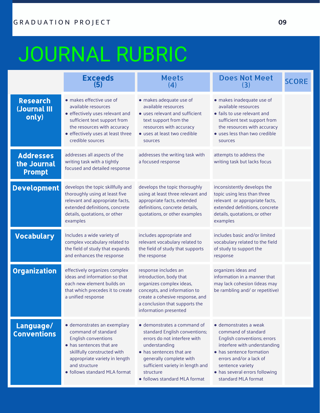### <span id="page-8-0"></span>JOURNAL RUBRIC

|                                                  | <b>Exceeds</b><br>(5)                                                                                                                                                                                                          | <b>Meets</b><br>(4)                                                                                                                                                                                                                                    | <b>Does Not Meet</b><br>(3)                                                                                                                                                                                                                     | <b>SCORE</b> |
|--------------------------------------------------|--------------------------------------------------------------------------------------------------------------------------------------------------------------------------------------------------------------------------------|--------------------------------------------------------------------------------------------------------------------------------------------------------------------------------------------------------------------------------------------------------|-------------------------------------------------------------------------------------------------------------------------------------------------------------------------------------------------------------------------------------------------|--------------|
| <b>Research</b><br>(Journal III<br>only)         | · makes effective use of<br>available resources<br>• effectively uses relevant and<br>sufficient text support from<br>the resources with accuracy<br>• effectively uses at least three<br>credible sources                     | • makes adequate use of<br>available resources<br>• uses relevant and sufficient<br>text support from the<br>resources with accuracy<br>· uses at least two credible<br>sources                                                                        | • makes inadequate use of<br>available resources<br>• fails to use relevant and<br>sufficient text support from<br>the resources with accuracy<br>· uses less than two credible<br>sources                                                      |              |
| <b>Addresses</b><br>the Journal<br><b>Prompt</b> | addresses all aspects of the<br>writing task with a tightly<br>focused and detailed response                                                                                                                                   | addresses the writing task with<br>a focused response                                                                                                                                                                                                  | attempts to address the<br>writing task but lacks focus                                                                                                                                                                                         |              |
| <b>Development</b>                               | develops the topic skillfully and<br>thoroughly using at least five<br>relevant and appropriate facts,<br>extended definitions, concrete<br>details, quotations, or other<br>examples                                          | develops the topic thoroughly<br>using at least three relevant and<br>appropriate facts, extended<br>definitions, concrete details,<br>quotations, or other examples                                                                                   | inconsistently develops the<br>topic using less than three<br>relevant or appropriate facts,<br>extended definitions, concrete<br>details, quotations, or other<br>examples                                                                     |              |
| <b>Vocabulary</b>                                | Includes a wide variety of<br>complex vocabulary related to<br>the field of study that expands<br>and enhances the response                                                                                                    | includes appropriate and<br>relevant vocabulary related to<br>the field of study that supports<br>the response                                                                                                                                         | includes basic and/or limited<br>vocabulary related to the field<br>of study to support the<br>response                                                                                                                                         |              |
| <b>Organization</b>                              | effectively organizes complex<br>ideas and information so that<br>each new element builds on<br>that which precedes it to create<br>a unified response                                                                         | response includes an<br>introduction, body that<br>organizes complex ideas,<br>concepts, and information to<br>create a cohesive response, and<br>a conclusion that supports the<br>information presented                                              | organizes ideas and<br>information in a manner that<br>may lack cohesion (ideas may<br>be rambling and/ or repetitive)                                                                                                                          |              |
| Language/<br><b>Conventions</b>                  | · demonstrates an exemplary<br>command of standard<br><b>English conventions</b><br>• has sentences that are<br>skillfully constructed with<br>appropriate variety in length<br>and structure<br>· follows standard MLA format | • demonstrates a command of<br>standard English conventions;<br>errors do not interfere with<br>understanding<br>• has sentences that are<br>generally complete with<br>sufficient variety in length and<br>structure<br>· follows standard MLA format | · demonstrates a weak<br>command of standard<br>English conventions; errors<br>interfere with understanding<br>• has sentence formation<br>errors and/or a lack of<br>sentence variety<br>• has several errors following<br>standard MLA format |              |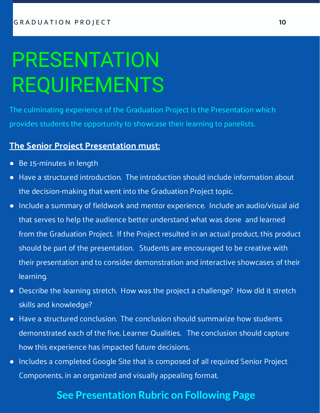### <span id="page-9-0"></span>PRESENTATION REQUIREMENTS

The culminating experience of the Graduation Project is the Presentation which provides students the opportunity to showcase their learning to panelists.

#### **The Senior Project Presentation must:**

- Be 15-minutes in length
- Have a structured introduction. The introduction should include information about the decision-making that went into the Graduation Project topic.
- Include a summary of fieldwork and mentor experience. Include an audio/visual aid that serves to help the audience better understand what was done and learned from the Graduation Project. If the Project resulted in an actual product, this product should be part of the presentation. Students are encouraged to be creative with their presentation and to consider demonstration and interactive showcases of their learning.
- Describe the learning stretch. How was the project a challenge? How did it stretch skills and knowledge?
- Have a structured conclusion. The conclusion should summarize how students demonstrated each of the five, Learner Qualities. The conclusion should capture how this experience has impacted future decisions.
- Includes a completed Google Site that is composed of all required Senior Project Components, in an organized and visually appealing format.

#### **See Presentation Rubric on Following Page**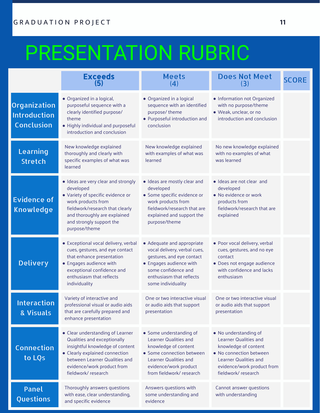### <span id="page-10-0"></span>PRESENTATION RUBRIC

|                                            | <b>Exceeds</b><br>(5)                                                                                                                                                                                                       | <b>Meets</b><br>(4)                                                                                                                                                                              | <b>Does Not Meet</b><br>(3)                                                                                                                                                                  | <b>SCORE</b> |
|--------------------------------------------|-----------------------------------------------------------------------------------------------------------------------------------------------------------------------------------------------------------------------------|--------------------------------------------------------------------------------------------------------------------------------------------------------------------------------------------------|----------------------------------------------------------------------------------------------------------------------------------------------------------------------------------------------|--------------|
| Organization<br>Introduction<br>Conclusion | • Organized in a logical,<br>purposeful sequence with a<br>clearly identified purpose/<br>theme<br>• Highly individual and purposeful<br>introduction and conclusion                                                        | • Organized in a logical<br>sequence with an identified<br>purpose/theme<br>• Purposeful introduction and<br>conclusion                                                                          | • Information not Organized<br>with no purpose/theme<br>· Weak, unclear, or no<br>introduction and conclusion                                                                                |              |
| Learning<br><b>Stretch</b>                 | New knowledge explained<br>thoroughly and clearly with<br>specific examples of what was<br>learned                                                                                                                          | New knowledge explained<br>with examples of what was<br>learned                                                                                                                                  | No new knowledge explained<br>with no examples of what<br>was learned                                                                                                                        |              |
| <b>Evidence of</b><br>Knowledge            | · Ideas are very clear and strongly<br>developed<br>• Variety of specific evidence or<br>work products from<br>fieldwork/research that clearly<br>and thoroughly are explained<br>and strongly support the<br>purpose/theme | · Ideas are mostly clear and<br>developed<br>• Some specific evidence or<br>work products from<br>fieldwork/research that are<br>explained and support the<br>purpose/theme                      | · Ideas are not clear and<br>developed<br>• No evidence or work<br>products from<br>fieldwork/research that are<br>explained                                                                 |              |
| <b>Delivery</b>                            | • Exceptional vocal delivery, verbal<br>cues, gestures, and eye contact<br>that enhance presentation<br>• Engages audience with<br>exceptional confidence and<br>enthusiasm that reflects<br>individuality                  | • Adequate and appropriate<br>vocal delivery, verbal cues,<br>gestures, and eye contact<br>• Engages audience with<br>some confidence and<br>enthusiasm that reflects<br>some individuality      | · Poor vocal delivery, verbal<br>cues, gestures, and no eye<br>contact<br>· Does not engage audience<br>with confidence and lacks<br>enthusiasm                                              |              |
| <b>Interaction</b><br>& Visuals            | Variety of interactive and<br>professional visual or audio aids<br>that are carefully prepared and<br>enhance presentation                                                                                                  | One or two interactive visual<br>or audio aids that support<br>presentation                                                                                                                      | One or two interactive visual<br>or audio aids that support<br>presentation                                                                                                                  |              |
| Connection<br>to LQs                       | • Clear understanding of Learner<br>Qualities and exceptionally<br>insightful knowledge of content<br>• Clearly explained connection<br>between Learner Qualities and<br>evidence/work product from<br>fieldwork/research   | • Some understanding of<br><b>Learner Qualities and</b><br>knowledge of content<br>• Some connection between<br><b>Learner Qualities and</b><br>evidence/work product<br>from fieldwork/research | • No understanding of<br><b>Learner Qualities and</b><br>knowledge of content<br>• No connection between<br><b>Learner Qualities and</b><br>evidence/work product from<br>fieldwork/research |              |
| Panel<br>Questions                         | Thoroughly answers questions<br>with ease, clear understanding,<br>and specific evidence                                                                                                                                    | Answers questions with<br>some understanding and<br>evidence                                                                                                                                     | Cannot answer questions<br>with understanding                                                                                                                                                |              |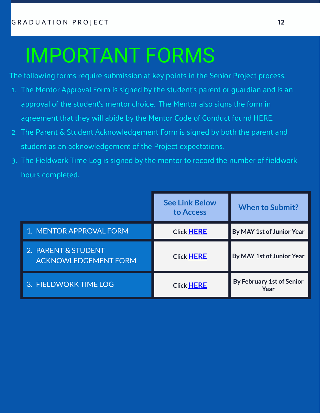### <span id="page-11-0"></span>IMPORTANT FORMS

The following forms require submission at key points in the Senior Project process.

- 1. The Mentor Approval Form is signed by the student's parent or guardian and is an approval of the student's mentor choice. The Mentor also signs the form in agreement that they will abide by the Mentor Code of Conduct found HERE.
- 2. The Parent & Student Acknowledgement Form is signed by both the parent and student as an acknowledgement of the Project expectations.
- 3. The Fieldwork Time Log is signed by the mentor to record the number of fieldwork hours completed.

|                                                    | <b>See Link Below</b><br>to Access | <b>When to Submit?</b>            |
|----------------------------------------------------|------------------------------------|-----------------------------------|
| 1. MENTOR APPROVAL FORM                            | <b>Click HERE</b>                  | By MAY 1st of Junior Year         |
| 2. PARENT & STUDENT<br><b>ACKNOWLEDGEMENT FORM</b> | <b>Click HERE</b>                  | By MAY 1st of Junior Year         |
| 3. FIELDWORK TIME LOG                              | <b>Click HERE</b>                  | By February 1st of Senior<br>Year |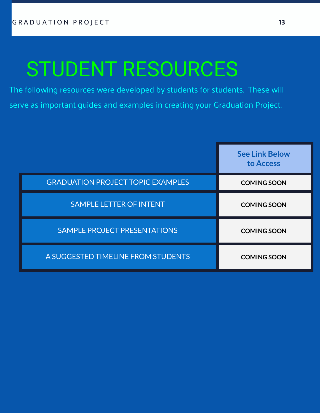### <span id="page-12-0"></span>STUDENT RESOURCES

The following resources were developed by students for students. These will serve as important guides and examples in creating your Graduation Project.

|                                          | <b>See Link Below</b><br>to Access |
|------------------------------------------|------------------------------------|
| <b>GRADUATION PROJECT TOPIC EXAMPLES</b> | <b>COMING SOON</b>                 |
| <b>SAMPLE LETTER OF INTENT</b>           | <b>COMING SOON</b>                 |
| <b>SAMPLE PROJECT PRESENTATIONS</b>      | <b>COMING SOON</b>                 |
| A SUGGESTED TIMELINE FROM STUDENTS       | <b>COMING SOON</b>                 |